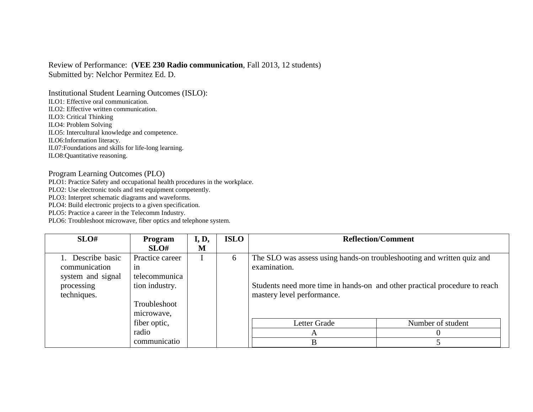## Review of Performance: (**VEE 230 Radio communication**, Fall 2013, 12 students) Submitted by: Nelchor Permitez Ed. D.

Institutional Student Learning Outcomes (ISLO): ILO1: Effective oral communication. ILO2: Effective written communication. ILO3: Critical Thinking ILO4: Problem Solving ILO5: Intercultural knowledge and competence. ILO6:Information literacy. IL07:Foundations and skills for life-long learning. ILO8:Quantitative reasoning.

## Program Learning Outcomes (PLO)

PLO1: Practice Safety and occupational health procedures in the workplace.

PLO2: Use electronic tools and test equipment competently.

PLO3: Interpret schematic diagrams and waveforms.

PLO4: Build electronic projects to a given specification.

PLO5: Practice a career in the Telecomm Industry.

PLO6: Troubleshoot microwave, fiber optics and telephone system.

| SLO#              | Program         | I, D, | <b>ISLO</b> |                                                                            | <b>Reflection/Comment</b> |
|-------------------|-----------------|-------|-------------|----------------------------------------------------------------------------|---------------------------|
|                   | SLO#            | M     |             |                                                                            |                           |
| 1. Describe basic | Practice career |       | 6           | The SLO was assess using hands-on troubleshooting and written quiz and     |                           |
| communication     | 1n              |       |             | examination.                                                               |                           |
| system and signal | telecommunica   |       |             |                                                                            |                           |
| processing        | tion industry.  |       |             | Students need more time in hands-on and other practical procedure to reach |                           |
| techniques.       |                 |       |             | mastery level performance.                                                 |                           |
|                   | Troubleshoot    |       |             |                                                                            |                           |
|                   | microwave.      |       |             |                                                                            |                           |
|                   | fiber optic,    |       |             | Letter Grade                                                               | Number of student         |
|                   | radio           |       |             | $\mathsf{A}$                                                               |                           |
|                   | communicatio    |       |             | B                                                                          |                           |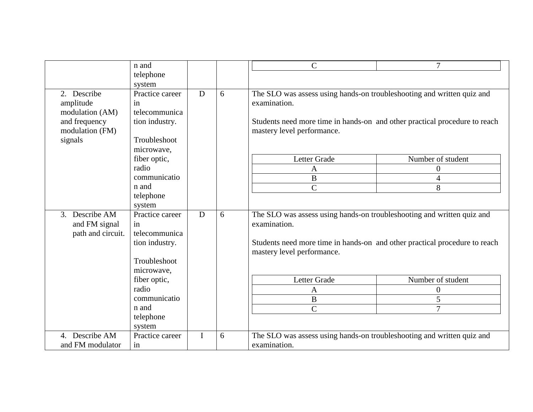|                                 | n and           |   |   | $\mathsf{C}$                                                               | $\overline{7}$    |
|---------------------------------|-----------------|---|---|----------------------------------------------------------------------------|-------------------|
|                                 | telephone       |   |   |                                                                            |                   |
|                                 | system          |   |   |                                                                            |                   |
| 2. Describe                     | Practice career | D | 6 | The SLO was assess using hands-on troubleshooting and written quiz and     |                   |
| amplitude                       | in              |   |   | examination.                                                               |                   |
| modulation (AM)                 | telecommunica   |   |   |                                                                            |                   |
| and frequency                   | tion industry.  |   |   | Students need more time in hands-on and other practical procedure to reach |                   |
| modulation (FM)                 |                 |   |   | mastery level performance.                                                 |                   |
| signals                         | Troubleshoot    |   |   |                                                                            |                   |
|                                 | microwave,      |   |   |                                                                            |                   |
|                                 | fiber optic,    |   |   | Letter Grade                                                               | Number of student |
|                                 | radio           |   |   | A                                                                          | $\boldsymbol{0}$  |
|                                 | communicatio    |   |   | $\overline{B}$                                                             | $\overline{4}$    |
|                                 | n and           |   |   | $\overline{C}$                                                             | 8                 |
|                                 | telephone       |   |   |                                                                            |                   |
|                                 | system          |   |   |                                                                            |                   |
| Describe AM<br>$\mathfrak{Z}$ . | Practice career | D | 6 | The SLO was assess using hands-on troubleshooting and written quiz and     |                   |
| and FM signal                   | in              |   |   | examination.                                                               |                   |
| path and circuit.               | telecommunica   |   |   |                                                                            |                   |
|                                 | tion industry.  |   |   | Students need more time in hands-on and other practical procedure to reach |                   |
|                                 |                 |   |   | mastery level performance.                                                 |                   |
|                                 | Troubleshoot    |   |   |                                                                            |                   |
|                                 | microwave,      |   |   |                                                                            |                   |
|                                 | fiber optic,    |   |   | Letter Grade                                                               | Number of student |
|                                 | radio           |   |   | A                                                                          | $\boldsymbol{0}$  |
|                                 | communicatio    |   |   | $\, {\bf B}$                                                               | 5                 |
|                                 | n and           |   |   | $\overline{C}$                                                             | 7                 |
|                                 | telephone       |   |   |                                                                            |                   |
|                                 | system          |   |   |                                                                            |                   |
| Describe AM<br>4.               | Practice career | I | 6 | The SLO was assess using hands-on troubleshooting and written quiz and     |                   |
| and FM modulator                | in              |   |   | examination.                                                               |                   |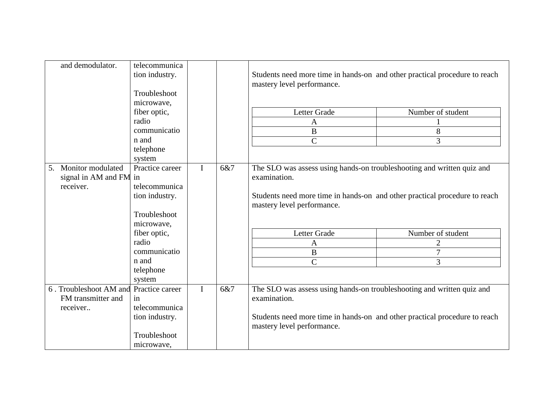| and demodulator.                                  | telecommunica<br>tion industry.<br>Troubleshoot<br>microwave, |              |     | Students need more time in hands-on and other practical procedure to reach<br>mastery level performance. |                   |  |
|---------------------------------------------------|---------------------------------------------------------------|--------------|-----|----------------------------------------------------------------------------------------------------------|-------------------|--|
|                                                   | fiber optic,                                                  |              |     | Letter Grade                                                                                             | Number of student |  |
|                                                   | radio                                                         |              |     | $\mathbf{A}$                                                                                             |                   |  |
|                                                   | communicatio                                                  |              |     | $\boldsymbol{B}$                                                                                         | 8                 |  |
|                                                   | n and                                                         |              |     | $\overline{C}$                                                                                           | 3                 |  |
|                                                   | telephone<br>system                                           |              |     |                                                                                                          |                   |  |
| Monitor modulated<br>5.<br>signal in AM and FM in | Practice career                                               | $\mathbf{I}$ | 6&7 | The SLO was assess using hands-on troubleshooting and written quiz and<br>examination.                   |                   |  |
| receiver.                                         | telecommunica                                                 |              |     |                                                                                                          |                   |  |
|                                                   | tion industry.                                                |              |     | Students need more time in hands-on and other practical procedure to reach<br>mastery level performance. |                   |  |
|                                                   | Troubleshoot<br>microwave,                                    |              |     |                                                                                                          |                   |  |
|                                                   | fiber optic,                                                  |              |     | Letter Grade                                                                                             | Number of student |  |
|                                                   | radio                                                         |              |     | $\mathbf{A}$                                                                                             | $\overline{2}$    |  |
|                                                   | communicatio                                                  |              |     | $\, {\bf B}$                                                                                             | $\overline{7}$    |  |
|                                                   | n and                                                         |              |     | $\overline{C}$                                                                                           | 3                 |  |
|                                                   | telephone                                                     |              |     |                                                                                                          |                   |  |
|                                                   | system                                                        |              |     |                                                                                                          |                   |  |
| 6. Troubleshoot AM and                            | Practice career                                               | $\mathbf I$  | 6&7 | The SLO was assess using hands-on troubleshooting and written quiz and                                   |                   |  |
| FM transmitter and                                | in                                                            |              |     | examination.                                                                                             |                   |  |
| receiver                                          | telecommunica                                                 |              |     |                                                                                                          |                   |  |
|                                                   | tion industry.                                                |              |     | Students need more time in hands-on and other practical procedure to reach<br>mastery level performance. |                   |  |
|                                                   | Troubleshoot                                                  |              |     |                                                                                                          |                   |  |
|                                                   | microwave,                                                    |              |     |                                                                                                          |                   |  |